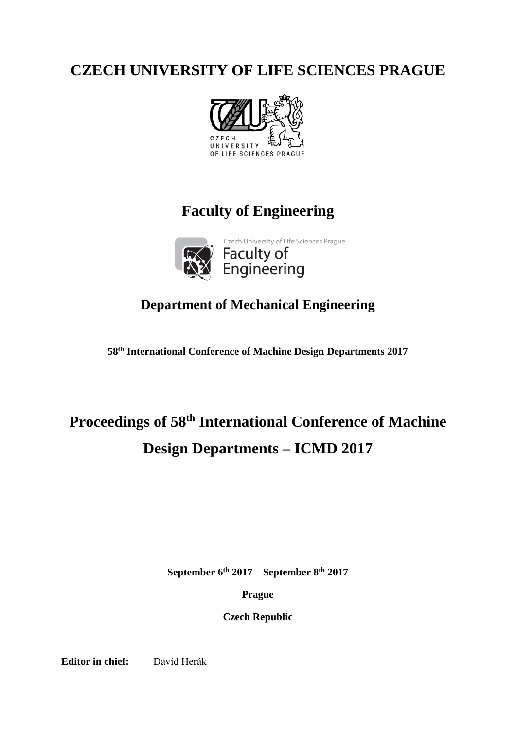## **CZECH UNIVERSITY OF LIFE SCIENCES PRAGUE**



# **Faculty of Engineering**



Czech University of Life Sciences Prague Faculty of<br>Engineering

### **Department of Mechanical Engineering**

**58th International Conference of Machine Design Departments 2017**

# **Proceedings of 58th International Conference of Machine Design Departments – ICMD 2017**

**September 6th 2017 – September 8th 2017**

**Prague**

**Czech Republic**

**Editor in chief:** David Herák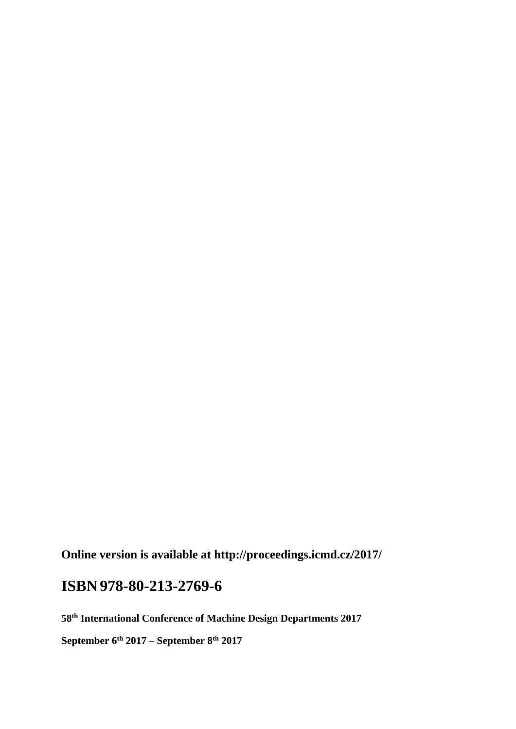**Online version is available at http://proceedings.icmd.cz/2017/**

## **ISBN978-80-213-2769-6**

**58th International Conference of Machine Design Departments 2017**

**September 6th 2017 – September 8th 2017**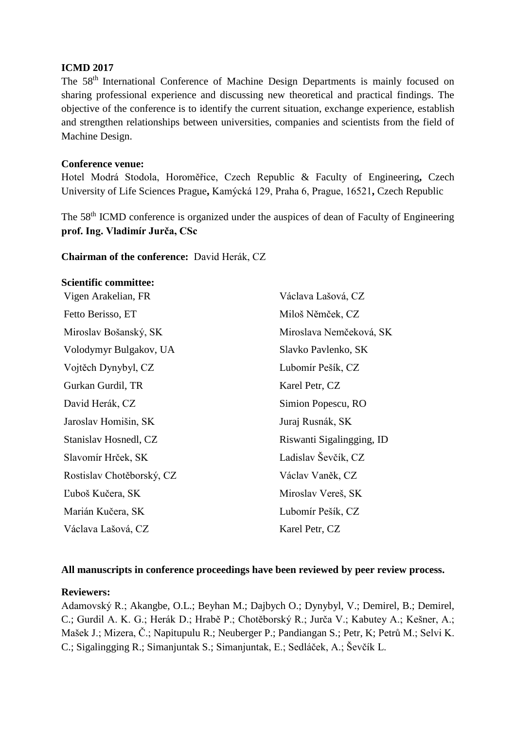#### **ICMD 2017**

The 58<sup>th</sup> International Conference of Machine Design Departments is mainly focused on sharing professional experience and discussing new theoretical and practical findings. The objective of the conference is to identify the current situation, exchange experience, establish and strengthen relationships between universities, companies and scientists from the field of Machine Design.

#### **Conference venue:**

Hotel Modrá Stodola, Horoměřice, Czech Republic & Faculty of Engineering**,** Czech University of Life Sciences Prague**,** Kamýcká 129, Praha 6, Prague, 16521**,** Czech Republic

The 58<sup>th</sup> ICMD conference is organized under the auspices of dean of Faculty of Engineering **prof. Ing. Vladimír Jurča, CSc**

#### **Chairman of the conference:** David Herák, CZ

#### **Scientific committee:**

| Václava Lašová, CZ        |
|---------------------------|
| Miloš Němček, CZ          |
| Miroslava Nemčeková, SK   |
| Slavko Pavlenko, SK       |
| Lubomír Pešík, CZ         |
| Karel Petr, CZ            |
| Simion Popescu, RO        |
| Juraj Rusnák, SK          |
| Riswanti Sigalingging, ID |
| Ladislav Ševčík, CZ       |
| Václav Vaněk, CZ          |
| Miroslav Vereš, SK        |
| Lubomír Pešík, CZ         |
| Karel Petr, CZ            |
|                           |

#### **All manuscripts in conference proceedings have been reviewed by peer review process.**

#### **Reviewers:**

Adamovský R.; Akangbe, O.L.; Beyhan M.; Dajbych O.; Dynybyl, V.; Demirel, B.; Demirel, C.; Gurdil A. K. G.; Herák D.; Hrabě P.; Chotěborský R.; Jurča V.; Kabutey A.; Kešner, A.; Mašek J.; Mizera, Č.; Napitupulu R.; Neuberger P.; Pandiangan S.; Petr, K; Petrů M.; Selvi K. C.; Sigalingging R.; Simanjuntak S.; Simanjuntak, E.; Sedláček, A.; Ševčík L.